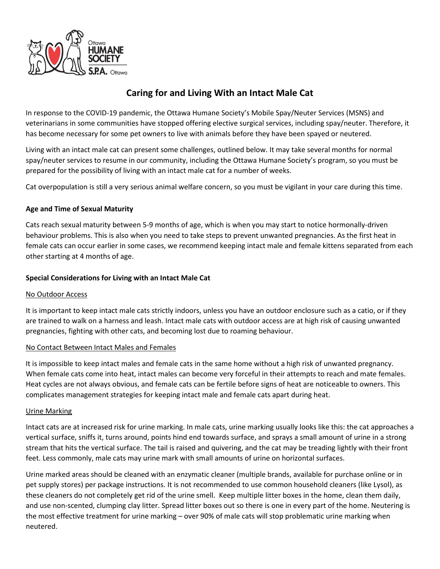

# **Caring for and Living With an Intact Male Cat**

In response to the COVID-19 pandemic, the Ottawa Humane Society's Mobile Spay/Neuter Services (MSNS) and veterinarians in some communities have stopped offering elective surgical services, including spay/neuter. Therefore, it has become necessary for some pet owners to live with animals before they have been spayed or neutered.

Living with an intact male cat can present some challenges, outlined below. It may take several months for normal spay/neuter services to resume in our community, including the Ottawa Humane Society's program, so you must be prepared for the possibility of living with an intact male cat for a number of weeks.

Cat overpopulation is still a very serious animal welfare concern, so you must be vigilant in your care during this time.

# **Age and Time of Sexual Maturity**

Cats reach sexual maturity between 5-9 months of age, which is when you may start to notice hormonally-driven behaviour problems. This is also when you need to take steps to prevent unwanted pregnancies. As the first heat in female cats can occur earlier in some cases, we recommend keeping intact male and female kittens separated from each other starting at 4 months of age.

# **Special Considerations for Living with an Intact Male Cat**

### No Outdoor Access

It is important to keep intact male cats strictly indoors, unless you have an outdoor enclosure such as a catio, or if they are trained to walk on a harness and leash. Intact male cats with outdoor access are at high risk of causing unwanted pregnancies, fighting with other cats, and becoming lost due to roaming behaviour.

### No Contact Between Intact Males and Females

It is impossible to keep intact males and female cats in the same home without a high risk of unwanted pregnancy. When female cats come into heat, intact males can become very forceful in their attempts to reach and mate females. Heat cycles are not always obvious, and female cats can be fertile before signs of heat are noticeable to owners. This complicates management strategies for keeping intact male and female cats apart during heat.

### Urine Marking

Intact cats are at increased risk for urine marking. In male cats, urine marking usually looks like this: the cat approaches a vertical surface, sniffs it, turns around, points hind end towards surface, and sprays a small amount of urine in a strong stream that hits the vertical surface. The tail is raised and quivering, and the cat may be treading lightly with their front feet. Less commonly, male cats may urine mark with small amounts of urine on horizontal surfaces.

Urine marked areas should be cleaned with an enzymatic cleaner (multiple brands, available for purchase online or in pet supply stores) per package instructions. It is not recommended to use common household cleaners (like Lysol), as these cleaners do not completely get rid of the urine smell. Keep multiple litter boxes in the home, clean them daily, and use non-scented, clumping clay litter. Spread litter boxes out so there is one in every part of the home. Neutering is the most effective treatment for urine marking – over 90% of male cats will stop problematic urine marking when neutered.